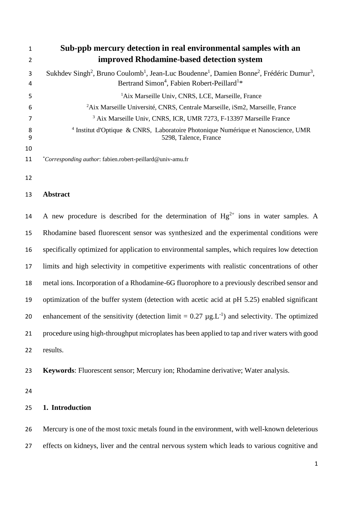| 1             | Sub-ppb mercury detection in real environmental samples with an                                                                                                                                                            |  |  |  |
|---------------|----------------------------------------------------------------------------------------------------------------------------------------------------------------------------------------------------------------------------|--|--|--|
| $\mathfrak z$ | improved Rhodamine-based detection system                                                                                                                                                                                  |  |  |  |
| 3<br>4        | Sukhdev Singh <sup>2</sup> , Bruno Coulomb <sup>1</sup> , Jean-Luc Boudenne <sup>1</sup> , Damien Bonne <sup>2</sup> , Frédéric Dumur <sup>3</sup> ,<br>Bertrand Simon <sup>4</sup> , Fabien Robert-Peillard <sup>1*</sup> |  |  |  |
| 5             | <sup>1</sup> Aix Marseille Univ, CNRS, LCE, Marseille, France                                                                                                                                                              |  |  |  |
| 6             | <sup>2</sup> Aix Marseille Université, CNRS, Centrale Marseille, iSm2, Marseille, France                                                                                                                                   |  |  |  |
|               | <sup>3</sup> Aix Marseille Univ, CNRS, ICR, UMR 7273, F-13397 Marseille France                                                                                                                                             |  |  |  |
| 8<br>9        | <sup>4</sup> Institut d'Optique & CNRS, Laboratoire Photonique Numérique et Nanoscience, UMR<br>5298, Talence, France                                                                                                      |  |  |  |
| 10            |                                                                                                                                                                                                                            |  |  |  |
| 11            | <i>Corresponding author:</i> fabien.robert-peillard@univ-amu.fr                                                                                                                                                            |  |  |  |

#### **Abstract**

14 A new procedure is described for the determination of  $Hg^{2+}$  ions in water samples. A Rhodamine based fluorescent sensor was synthesized and the experimental conditions were specifically optimized for application to environmental samples, which requires low detection limits and high selectivity in competitive experiments with realistic concentrations of other metal ions. Incorporation of a Rhodamine-6G fluorophore to a previously described sensor and optimization of the buffer system (detection with acetic acid at pH 5.25) enabled significant 20 enhancement of the sensitivity (detection  $\text{limit} = 0.27 \mu g \cdot L^{-1}$ ) and selectivity. The optimized procedure using high-throughput microplates has been applied to tap and river waters with good results.

**Keywords**: Fluorescent sensor; Mercury ion; Rhodamine derivative; Water analysis.

#### **1. Introduction**

 Mercury is one of the most toxic metals found in the environment, with well-known deleterious effects on kidneys, liver and the central nervous system which leads to various cognitive and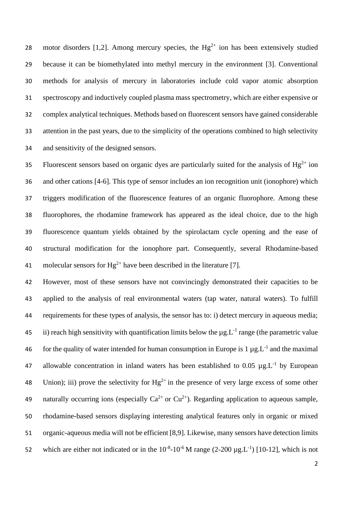28 motor disorders [1,2]. Among mercury species, the  $Hg^{2+}$  ion has been extensively studied because it can be biomethylated into methyl mercury in the environment [3]. Conventional methods for analysis of mercury in laboratories include cold vapor atomic absorption spectroscopy and inductively coupled plasma mass spectrometry, which are either expensive or complex analytical techniques. Methods based on fluorescent sensors have gained considerable attention in the past years, due to the simplicity of the operations combined to high selectivity and sensitivity of the designed sensors.

Fluorescent sensors based on organic dyes are particularly suited for the analysis of  $Hg^{2+}$  ion and other cations [4-6]. This type of sensor includes an ion recognition unit (ionophore) which triggers modification of the fluorescence features of an organic fluorophore. Among these fluorophores, the rhodamine framework has appeared as the ideal choice, due to the high fluorescence quantum yields obtained by the spirolactam cycle opening and the ease of structural modification for the ionophore part. Consequently, several Rhodamine-based 41 molecular sensors for  $Hg^{2+}$  have been described in the literature [7].

 However, most of these sensors have not convincingly demonstrated their capacities to be applied to the analysis of real environmental waters (tap water, natural waters). To fulfill requirements for these types of analysis, the sensor has to: i) detect mercury in aqueous media; 45 ii) reach high sensitivity with quantification limits below the  $\mu$ g. L<sup>-1</sup> range (the parametric value 46 for the quality of water intended for human consumption in Europe is  $1 \mu g.L^{-1}$  and the maximal 47 allowable concentration in inland waters has been established to 0.05  $\mu$ g.L<sup>-1</sup> by European 48 Union); iii) prove the selectivity for  $Hg^{2+}$  in the presence of very large excess of some other naturally occurring ions (especially  $Ca^{2+}$  or  $Cu^{2+}$ ). Regarding application to aqueous sample, rhodamine-based sensors displaying interesting analytical features only in organic or mixed organic-aqueous media will not be efficient [8,9]. Likewise, many sensors have detection limits 52 which are either not indicated or in the  $10^{-8}$ -10<sup>-6</sup> M range (2-200  $\mu$ g.L<sup>-1</sup>) [10-12], which is not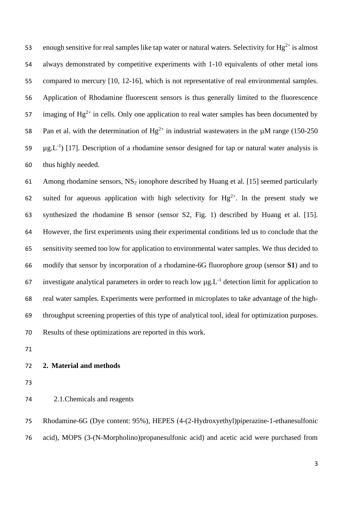enough sensitive for real samples like tap water or natural waters. Selectivity for  $Hg^{2+}$  is almost always demonstrated by competitive experiments with 1-10 equivalents of other metal ions 55 compared to mercury [10, 12-16], which is not representative of real environmental samples. Application of Rhodamine fluorescent sensors is thus generally limited to the fluorescence 57 imaging of  $Hg^{2+}$  in cells. Only one application to real water samples has been documented by 58 Pan et al. with the determination of  $He^{2+}$  in industrial wastewaters in the uM range (150-250) 59  $\mu$ g.L<sup>-1</sup>) [17]. Description of a rhodamine sensor designed for tap or natural water analysis is thus highly needed.

 Among rhodamine sensors, NS<sup>2</sup> ionophore described by Huang et al. [15] seemed particularly 62 suited for aqueous application with high selectivity for  $Hg^{2+}$ . In the present study we synthesized the rhodamine B sensor (sensor S2, Fig. 1) described by Huang et al. [15]. However, the first experiments using their experimental conditions led us to conclude that the sensitivity seemed too low for application to environmental water samples. We thus decided to modify that sensor by incorporation of a rhodamine-6G fluorophore group (sensor **S1**) and to 67 investigate analytical parameters in order to reach low  $\mu$ g. L<sup>-1</sup> detection limit for application to real water samples. Experiments were performed in microplates to take advantage of the high- throughput screening properties of this type of analytical tool, ideal for optimization purposes. Results of these optimizations are reported in this work.

#### **2. Material and methods**

## 2.1.Chemicals and reagents

 Rhodamine-6G (Dye content: 95%), HEPES (4-(2-Hydroxyethyl)piperazine-1-ethanesulfonic acid), MOPS (3-(N-Morpholino)propanesulfonic acid) and acetic acid were purchased from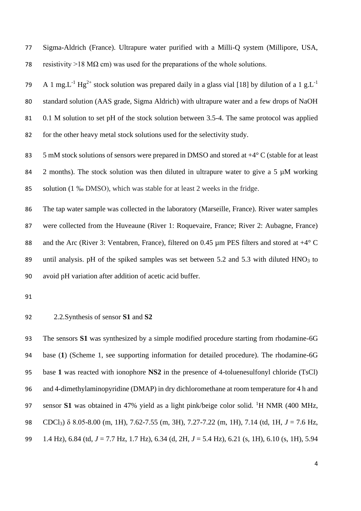Sigma-Aldrich (France). Ultrapure water purified with a Milli-Q system (Millipore, USA, 78 resistivity >18 M $\Omega$  cm) was used for the preparations of the whole solutions.

A 1 mg.L<sup>-1</sup> Hg<sup>2+</sup> stock solution was prepared daily in a glass vial [18] by dilution of a 1 g.L<sup>-1</sup> standard solution (AAS grade, Sigma Aldrich) with ultrapure water and a few drops of NaOH 0.1 M solution to set pH of the stock solution between 3.5-4. The same protocol was applied for the other heavy metal stock solutions used for the selectivity study.

83 5 mM stock solutions of sensors were prepared in DMSO and stored at  $+4^{\circ}$  C (stable for at least 84 2 months). The stock solution was then diluted in ultrapure water to give a 5  $\mu$ M working solution (1 ‰ DMSO), which was stable for at least 2 weeks in the fridge.

 The tap water sample was collected in the laboratory (Marseille, France). River water samples were collected from the Huveaune (River 1: Roquevaire, France; River 2: Aubagne, France) 88 and the Arc (River 3: Ventabren, France), filtered on 0.45  $\mu$ m PES filters and stored at  $+4^{\circ}$  C 89 until analysis. pH of the spiked samples was set between 5.2 and 5.3 with diluted  $HNO<sub>3</sub>$  to avoid pH variation after addition of acetic acid buffer.

#### 2.2.Synthesis of sensor **S1** and **S2**

 The sensors **S1** was synthesized by a simple modified procedure starting from rhodamine-6G base (**1**) (Scheme 1, see supporting information for detailed procedure). The rhodamine-6G base **1** was reacted with ionophore **NS2** in the presence of 4-toluenesulfonyl chloride (TsCl) and 4-dimethylaminopyridine (DMAP) in dry dichloromethane at room temperature for 4 h and 97 sensor **S1** was obtained in 47% yield as a light pink/beige color solid. <sup>1</sup>H NMR (400 MHz, CDCl3) δ 8.05-8.00 (m, 1H), 7.62-7.55 (m, 3H), 7.27-7.22 (m, 1H), 7.14 (td, 1H, *J* = 7.6 Hz, 1.4 Hz), 6.84 (td, *J* = 7.7 Hz, 1.7 Hz), 6.34 (d, 2H, *J* = 5.4 Hz), 6.21 (s, 1H), 6.10 (s, 1H), 5.94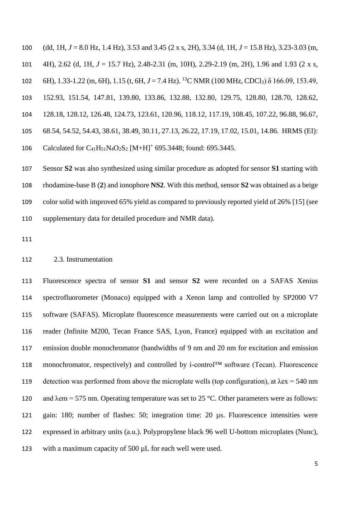(dd, 1H, *J* = 8.0 Hz, 1.4 Hz), 3.53 and 3.45 (2 x s, 2H), 3.34 (d, 1H, *J* = 15.8 Hz), 3.23-3.03 (m, 4H), 2.62 (d, 1H, *J* = 15.7 Hz), 2.48-2.31 (m, 10H), 2.29-2.19 (m, 2H), 1.96 and 1.93 (2 x s, 6H), 1.33-1.22 (m, 6H), 1.15 (t, 6H,  $J = 7.4$  Hz). <sup>13</sup>C NMR (100 MHz, CDCl<sub>3</sub>)  $\delta$  166.09, 153.49, 152.93, 151.54, 147.81, 139.80, 133.86, 132.88, 132.80, 129.75, 128.80, 128.70, 128.62, 128.18, 128.12, 126.48, 124.73, 123.61, 120.96, 118.12, 117.19, 108.45, 107.22, 96.88, 96.67, 68.54, 54.52, 54.43, 38.61, 38.49, 30.11, 27.13, 26.22, 17.19, 17.02, 15.01, 14.86. HRMS (EI): 106 Calculated for  $C_{41}H_{51}N_4O_2S_2$  [M+H]<sup>+</sup> 695.3448; found: 695.3445.

 Sensor **S2** was also synthesized using similar procedure as adopted for sensor **S1** starting with rhodamine-base B (**2**) and ionophore **NS2**. With this method, sensor **S2** was obtained as a beige color solid with improved 65% yield as compared to previously reported yield of 26% [15] (see supplementary data for detailed procedure and NMR data).

#### 2.3. Instrumentation

 Fluorescence spectra of sensor **S1** and sensor **S2** were recorded on a SAFAS Xenius spectrofluorometer (Monaco) equipped with a Xenon lamp and controlled by SP2000 V7 software (SAFAS). Microplate fluorescence measurements were carried out on a microplate reader (Infinite M200, Tecan France SAS, Lyon, France) equipped with an excitation and emission double monochromator (bandwidths of 9 nm and 20 nm for excitation and emission 118 monochromator, respectively) and controlled by i-control<sup>TM</sup> software (Tecan). Fluorescence 119 detection was performed from above the microplate wells (top configuration), at  $\lambda$ ex = 540 nm 120 and  $\lambda$ em = 575 nm. Operating temperature was set to 25 °C. Other parameters were as follows: gain: 180; number of flashes: 50; integration time: 20 µs. Fluorescence intensities were expressed in arbitrary units (a.u.). Polypropylene black 96 well U-bottom microplates (Nunc), with a maximum capacity of 500 µL for each well were used.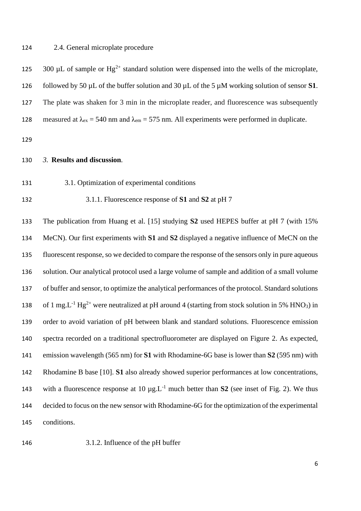#### 2.4. General microplate procedure

300  $\mu$ L of sample or Hg<sup>2+</sup> standard solution were dispensed into the wells of the microplate, 126 followed by 50  $\mu$ L of the buffer solution and 30  $\mu$ L of the 5  $\mu$ M working solution of sensor **S1**. The plate was shaken for 3 min in the microplate reader, and fluorescence was subsequently 128 measured at  $\lambda_{ex} = 540$  nm and  $\lambda_{em} = 575$  nm. All experiments were performed in duplicate. *3.* **Results and discussion***.* 3.1. Optimization of experimental conditions 3.1.1. Fluorescence response of **S1** and **S2** at pH 7 The publication from Huang et al. [15] studying **S2** used HEPES buffer at pH 7 (with 15% MeCN). Our first experiments with **S1** and **S2** displayed a negative influence of MeCN on the fluorescent response, so we decided to compare the response of the sensors only in pure aqueous solution. Our analytical protocol used a large volume of sample and addition of a small volume of buffer and sensor, to optimize the analytical performances of the protocol. Standard solutions 138 of 1 mg.L<sup>-1</sup> Hg<sup>2+</sup> were neutralized at pH around 4 (starting from stock solution in 5% HNO<sub>3</sub>) in order to avoid variation of pH between blank and standard solutions. Fluorescence emission spectra recorded on a traditional spectrofluorometer are displayed on Figure 2. As expected, emission wavelength (565 nm) for **S1** with Rhodamine-6G base is lower than **S2** (595 nm) with Rhodamine B base [10]. **S1** also already showed superior performances at low concentrations, 143 with a fluorescence response at  $10 \mu g.L^{-1}$  much better than **S2** (see inset of Fig. 2). We thus

decided to focus on the new sensor with Rhodamine-6G for the optimization of the experimental

conditions.

3.1.2. Influence of the pH buffer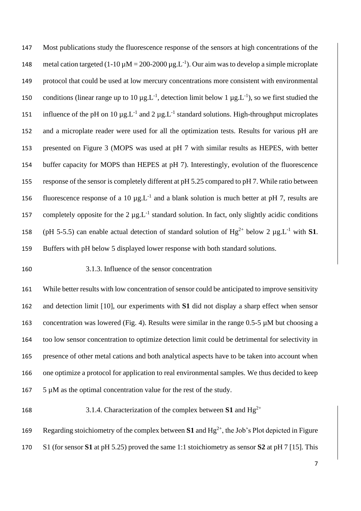Most publications study the fluorescence response of the sensors at high concentrations of the 148 metal cation targeted  $(1-10 \mu M = 200-2000 \mu g.L^{-1})$ . Our aim was to develop a simple microplate protocol that could be used at low mercury concentrations more consistent with environmental 150 conditions (linear range up to 10  $\mu$ g.L<sup>-1</sup>, detection limit below 1  $\mu$ g.L<sup>-1</sup>), so we first studied the 151 influence of the pH on 10  $\mu$ g.L<sup>-1</sup> and 2  $\mu$ g.L<sup>-1</sup> standard solutions. High-throughput microplates and a microplate reader were used for all the optimization tests. Results for various pH are presented on Figure 3 (MOPS was used at pH 7 with similar results as HEPES, with better buffer capacity for MOPS than HEPES at pH 7). Interestingly, evolution of the fluorescence response of the sensor is completely different at pH 5.25 compared to pH 7. While ratio between 156 fluorescence response of a 10  $\mu$ g.L<sup>-1</sup> and a blank solution is much better at pH 7, results are 157 completely opposite for the  $2 \mu g.L^{-1}$  standard solution. In fact, only slightly acidic conditions 158 (pH 5-5.5) can enable actual detection of standard solution of  $Hg^{2+}$  below 2  $\mu g.L^{-1}$  with **S1**. Buffers with pH below 5 displayed lower response with both standard solutions.

## 3.1.3. Influence of the sensor concentration

 While better results with low concentration of sensor could be anticipated to improve sensitivity and detection limit [10], our experiments with **S1** did not display a sharp effect when sensor concentration was lowered (Fig. 4). Results were similar in the range 0.5-5 µM but choosing a too low sensor concentration to optimize detection limit could be detrimental for selectivity in presence of other metal cations and both analytical aspects have to be taken into account when one optimize a protocol for application to real environmental samples. We thus decided to keep 5 µM as the optimal concentration value for the rest of the study.

## 168 3.1.4. Characterization of the complex between **S1** and Hg<sup>2+</sup>

169 Regarding stoichiometry of the complex between  $S1$  and  $Hg^{2+}$ , the Job's Plot depicted in Figure S1 (for sensor **S1** at pH 5.25) proved the same 1:1 stoichiometry as sensor **S2** at pH 7 [15]. This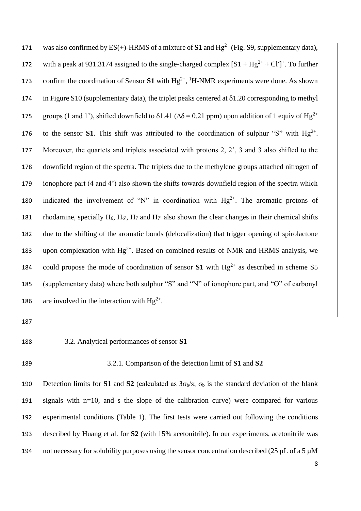171 was also confirmed by  $ES(+)$ -HRMS of a mixture of **S1** and  $Hg^{2+}$  (Fig. S9, supplementary data), 172 with a peak at 931.3174 assigned to the single-charged complex  $[S1 + Hg^{2+} + Cl^-]^+$ . To further 173 confirm the coordination of Sensor  $S1$  with  $Hg^{2+}$ , <sup>1</sup>H-NMR experiments were done. As shown 174 in Figure S10 (supplementary data), the triplet peaks centered at  $\delta$ 1.20 corresponding to methyl 175 groups (1 and 1'), shifted downfield to  $\delta$ 1.41 ( $\Delta \delta$  = 0.21 ppm) upon addition of 1 equiv of Hg<sup>2+</sup> 176 to the sensor **S1**. This shift was attributed to the coordination of sulphur "S" with  $Hg^{2+}$ . 177 Moreover, the quartets and triplets associated with protons 2, 2', 3 and 3 also shifted to the 178 downfield region of the spectra. The triplets due to the methylene groups attached nitrogen of 179 ionophore part (4 and 4') also shown the shifts towards downfield region of the spectra which 180 indicated the involvement of "N" in coordination with  $Hg^{2+}$ . The aromatic protons of 181 rhodamine, specially  $H_6$ ,  $H_6$ <sup>,</sup>  $H_7$  and  $H_7$ <sup>,</sup> also shown the clear changes in their chemical shifts 182 due to the shifting of the aromatic bonds (delocalization) that trigger opening of spirolactone 183 upon complexation with  $Hg^{2+}$ . Based on combined results of NMR and HRMS analysis, we 184 could propose the mode of coordination of sensor  $S1$  with  $Hg^{2+}$  as described in scheme S5 185 (supplementary data) where both sulphur "S" and "N" of ionophore part, and "O" of carbonyl 186 are involved in the interaction with  $Hg^{2+}$ .

187

#### 188 3.2. Analytical performances of sensor **S1**

## 189 3.2.1. Comparison of the detection limit of **S1** and **S2**

190 Detection limits for **S1** and **S2** (calculated as  $3\sigma_b/s$ ;  $\sigma_b$  is the standard deviation of the blank 191 signals with n=10, and s the slope of the calibration curve) were compared for various 192 experimental conditions (Table 1). The first tests were carried out following the conditions 193 described by Huang et al. for **S2** (with 15% acetonitrile). In our experiments, acetonitrile was 194 not necessary for solubility purposes using the sensor concentration described (25  $\mu$ L of a 5  $\mu$ M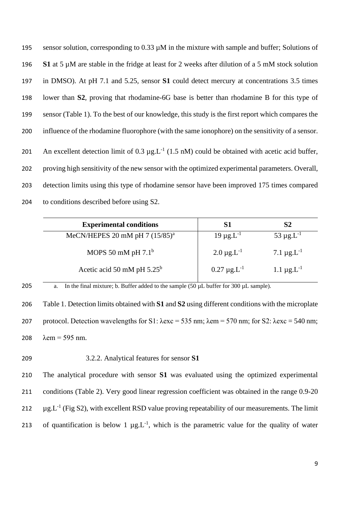sensor solution, corresponding to 0.33 µM in the mixture with sample and buffer; Solutions of **S1** at 5 µM are stable in the fridge at least for 2 weeks after dilution of a 5 mM stock solution in DMSO). At pH 7.1 and 5.25, sensor **S1** could detect mercury at concentrations 3.5 times lower than **S2**, proving that rhodamine-6G base is better than rhodamine B for this type of sensor (Table 1). To the best of our knowledge, this study is the first report which compares the influence of the rhodamine fluorophore (with the same ionophore) on the sensitivity of a sensor. 201 An excellent detection limit of 0.3  $\mu$ g.L<sup>-1</sup> (1.5 nM) could be obtained with acetic acid buffer, proving high sensitivity of the new sensor with the optimized experimental parameters. Overall, detection limits using this type of rhodamine sensor have been improved 175 times compared to conditions described before using S2.

| <b>Experimental conditions</b>    |                      | S2                          |
|-----------------------------------|----------------------|-----------------------------|
| MeCN/HEPES 20 mM pH 7 $(15/85)^a$ | $19 \mu g.L^{-1}$    | $53 \mu g.L^{-1}$           |
| MOPS 50 mM pH $7.1b$              | $2.0 \,\mu g.L^{-1}$ | 7.1 $\mu$ g.L <sup>-1</sup> |
| Acetic acid 50 mM pH $5.25^b$     | $0.27 \mu g.L^{-1}$  | 1.1 $\mu$ g.L <sup>-1</sup> |

# 205 a. In the final mixture; b. Buffer added to the sample  $(50 \mu L)$  buffer for  $300 \mu L$  sample).

206 Table 1. Detection limits obtained with **S1** and **S2** using different conditions with the microplate 207 protocol. Detection wavelengths for S1:  $\lambda$ exc = 535 nm;  $\lambda$ em = 570 nm; for S2:  $\lambda$ exc = 540 nm; 208  $\lambda$ em = 595 nm.

### 209 3.2.2. Analytical features for sensor **S1**

 The analytical procedure with sensor **S1** was evaluated using the optimized experimental conditions (Table 2). Very good linear regression coefficient was obtained in the range 0.9-20  $\mu$ g.L<sup>-1</sup> (Fig S2), with excellent RSD value proving repeatability of our measurements. The limit 213 of quantification is below 1  $\mu$ g.L<sup>-1</sup>, which is the parametric value for the quality of water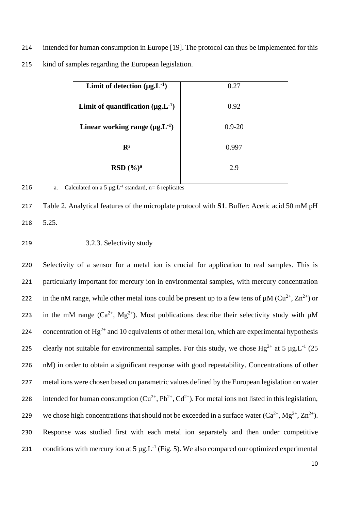214 intended for human consumption in Europe [19]. The protocol can thus be implemented for this 215 kind of samples regarding the European legislation.

| Limit of detection $(\mu g.L^{-1})$      | 0.27       |  |  |
|------------------------------------------|------------|--|--|
| Limit of quantification $(\mu g.L^{-1})$ | 0.92       |  |  |
| Linear working range $(\mu g.L^{-1})$    | $0.9 - 20$ |  |  |
| $\mathbf{R}^2$                           | 0.997      |  |  |
| RSD(%) <sup>a</sup>                      | 2.9        |  |  |



216 a. Calculated on a 5  $\mu$ g.L<sup>-1</sup> standard, n= 6 replicates

217 Table 2. Analytical features of the microplate protocol with **S1**. Buffer: Acetic acid 50 mM pH 218 5.25.

## 219 3.2.3. Selectivity study

220 Selectivity of a sensor for a metal ion is crucial for application to real samples. This is 221 particularly important for mercury ion in environmental samples, with mercury concentration 222 in the nM range, while other metal ions could be present up to a few tens of  $\mu$ M (Cu<sup>2+</sup>, Zn<sup>2+</sup>) or 223 in the mM range  $(Ca^{2+}, Mg^{2+})$ . Most publications describe their selectivity study with  $\mu$ M 224 concentration of  $Hg^{2+}$  and 10 equivalents of other metal ion, which are experimental hypothesis 225 clearly not suitable for environmental samples. For this study, we chose  $Hg^{2+}$  at 5  $\mu g$ . L<sup>-1</sup> (25 226 nM) in order to obtain a significant response with good repeatability. Concentrations of other 227 metal ions were chosen based on parametric values defined by the European legislation on water 228 intended for human consumption  $(Cu^{2+}, Pb^{2+}, Cd^{2+})$ . For metal ions not listed in this legislation, 229 we chose high concentrations that should not be exceeded in a surface water  $(Ca^{2+}, Mg^{2+}, Zn^{2+})$ . 230 Response was studied first with each metal ion separately and then under competitive 231 conditions with mercury ion at 5  $\mu$ g. L<sup>-1</sup> (Fig. 5). We also compared our optimized experimental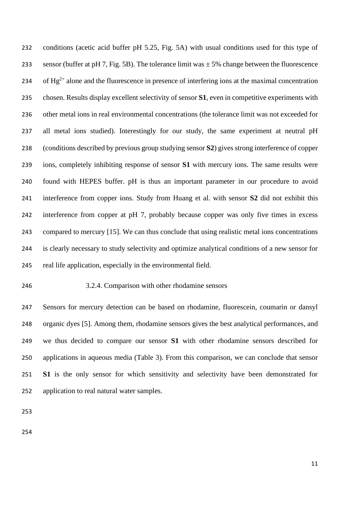conditions (acetic acid buffer pH 5.25, Fig. 5A) with usual conditions used for this type of 233 sensor (buffer at pH 7, Fig. 5B). The tolerance limit was  $\pm$  5% change between the fluorescence 234 of Hg<sup>2+</sup> alone and the fluorescence in presence of interfering ions at the maximal concentration chosen. Results display excellent selectivity of sensor **S1**, even in competitive experiments with other metal ions in real environmental concentrations (the tolerance limit was not exceeded for all metal ions studied). Interestingly for our study, the same experiment at neutral pH (conditions described by previous group studying sensor **S2**) gives strong interference of copper ions, completely inhibiting response of sensor **S1** with mercury ions. The same results were found with HEPES buffer. pH is thus an important parameter in our procedure to avoid interference from copper ions. Study from Huang et al. with sensor **S2** did not exhibit this interference from copper at pH 7, probably because copper was only five times in excess compared to mercury [15]. We can thus conclude that using realistic metal ions concentrations is clearly necessary to study selectivity and optimize analytical conditions of a new sensor for real life application, especially in the environmental field.

### 3.2.4. Comparison with other rhodamine sensors

 Sensors for mercury detection can be based on rhodamine, fluorescein, coumarin or dansyl organic dyes [5]. Among them, rhodamine sensors gives the best analytical performances, and we thus decided to compare our sensor **S1** with other rhodamine sensors described for applications in aqueous media (Table 3). From this comparison, we can conclude that sensor **S1** is the only sensor for which sensitivity and selectivity have been demonstrated for application to real natural water samples.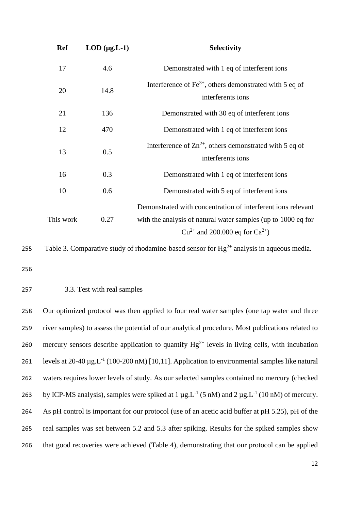| <b>Ref</b> | $LOD$ ( $\mu$ g.L-1) | <b>Selectivity</b>                                                                                                                                                        |
|------------|----------------------|---------------------------------------------------------------------------------------------------------------------------------------------------------------------------|
| 17         | 4.6                  | Demonstrated with 1 eq of interferent ions                                                                                                                                |
| 20         | 14.8                 | Interference of $Fe^{3+}$ , others demonstrated with 5 eq of<br>interferents ions                                                                                         |
| 21         | 136                  | Demonstrated with 30 eq of interferent ions                                                                                                                               |
| 12         | 470                  | Demonstrated with 1 eq of interferent ions                                                                                                                                |
| 13         | 0.5                  | Interference of $\text{Zn}^{2+}$ , others demonstrated with 5 eq of<br>interferents ions                                                                                  |
| 16         | 0.3                  | Demonstrated with 1 eq of interferent ions                                                                                                                                |
| 10         | 0.6                  | Demonstrated with 5 eq of interferent ions                                                                                                                                |
| This work  | 0.27                 | Demonstrated with concentration of interferent ions relevant<br>with the analysis of natural water samples (up to 1000 eq for<br>$Cu^{2+}$ and 200.000 eq for $Ca^{2+}$ ) |

# Table 3. Comparative study of rhodamine-based sensor for  $Hg^{2+}$  analysis in aqueous media.

256

## 257 3.3. Test with real samples

 Our optimized protocol was then applied to four real water samples (one tap water and three river samples) to assess the potential of our analytical procedure. Most publications related to 260 mercury sensors describe application to quantify  $Hg^{2+}$  levels in living cells, with incubation 261 levels at  $20-40 \mu g.L^{-1}$  (100-200 nM) [10,11]. Application to environmental samples like natural waters requires lower levels of study. As our selected samples contained no mercury (checked 263 by ICP-MS analysis), samples were spiked at  $1 \mu g.L^{-1}$  (5 nM) and  $2 \mu g.L^{-1}$  (10 nM) of mercury. As pH control is important for our protocol (use of an acetic acid buffer at pH 5.25), pH of the real samples was set between 5.2 and 5.3 after spiking. Results for the spiked samples show that good recoveries were achieved (Table 4), demonstrating that our protocol can be applied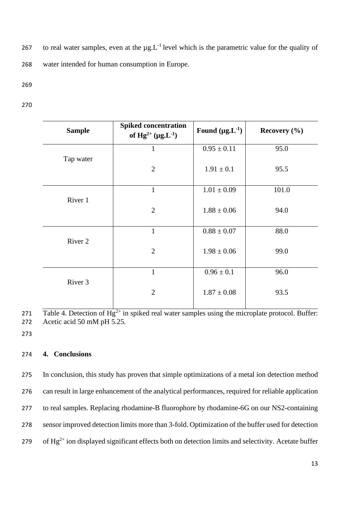to real water samples, even at the  $\mu$ g. L<sup>-1</sup> level which is the parametric value for the quality of 268 water intended for human consumption in Europe.

269

270

| <b>Sample</b>      | <b>Spiked concentration</b><br>of $Hg^{2+} (\mu g.L^{-1})$ | Found $(\mu g.L^{-1})$ | Recovery $(\% )$ |
|--------------------|------------------------------------------------------------|------------------------|------------------|
|                    | $\mathbf{1}$                                               | $0.95 \pm 0.11$        | 95.0             |
| Tap water          | $\overline{2}$                                             | $1.91 \pm 0.1$         | 95.5             |
| River 1            | $\mathbf{1}$                                               | $1.01 \pm 0.09$        | 101.0            |
|                    | $\overline{2}$                                             | $1.88 \pm 0.06$        | 94.0             |
|                    | $\mathbf{1}$                                               | $0.88 \pm 0.07$        | 88.0             |
| River 2            | $\overline{2}$                                             | $1.98 \pm 0.06$        | 99.0             |
|                    | $\mathbf{1}$                                               | $0.96 \pm 0.1$         | 96.0             |
| River <sub>3</sub> | $\overline{2}$                                             | $1.87 \pm 0.08$        | 93.5             |

271 Table 4. Detection of  $Hg^{2+}$  in spiked real water samples using the microplate protocol. Buffer: 272 Acetic acid 50 mM pH 5.25.

273

#### 274 **4. Conclusions**

 In conclusion, this study has proven that simple optimizations of a metal ion detection method can result in large enhancement of the analytical performances, required for reliable application to real samples. Replacing rhodamine-B fluorophore by rhodamine-6G on our NS2-containing sensor improved detection limits more than 3-fold. Optimization of the buffer used for detection 279 of  $Hg^{2+}$  ion displayed significant effects both on detection limits and selectivity. Acetate buffer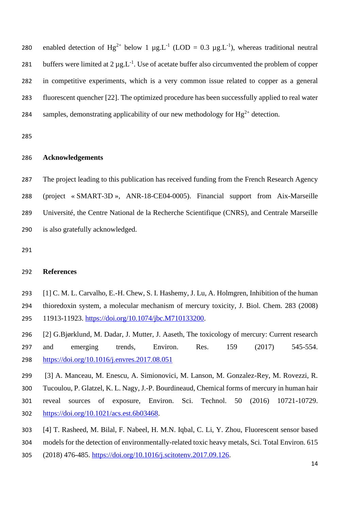280 enabled detection of Hg<sup>2+</sup> below 1  $\mu$ g.L<sup>-1</sup> (LOD = 0.3  $\mu$ g.L<sup>-1</sup>), whereas traditional neutral 281 buffers were limited at  $2 \mu g.L^{-1}$ . Use of acetate buffer also circumvented the problem of copper in competitive experiments, which is a very common issue related to copper as a general fluorescent quencher [22]. The optimized procedure has been successfully applied to real water 284 samples, demonstrating applicability of our new methodology for  $Hg^{2+}$  detection.

## **Acknowledgements**

 The project leading to this publication has received funding from the French Research Agency (project « SMART-3D », ANR-18-CE04-0005). Financial support from Aix-Marseille Université, the Centre National de la Recherche Scientifique (CNRS), and Centrale Marseille is also gratefully acknowledged.

#### **References**

 [1] C. M. L. Carvalho, E.-H. Chew, S. I. Hashemy, J. Lu, A. Holmgren, Inhibition of the human thioredoxin system, a molecular mechanism of mercury toxicity, J. Biol. Chem. 283 (2008) 295 11913-11923. [https://doi.org/10.1074/jbc.M710133200.](https://doi.org/10.1074/jbc.M710133200)

 [2] G.Bjørklund, M. Dadar, J. Mutter, J. Aaseth, The toxicology of mercury: Current research and emerging trends, Environ. Res. 159 (2017) 545-554. <https://doi.org/10.1016/j.envres.2017.08.051>

[3] A. Manceau, M. Enescu, A. Simionovici, M. Lanson, M. Gonzalez-Rey, M. Rovezzi, R.

Tucoulou, P. Glatzel, K. L. Nagy, J.-P. Bourdineaud, Chemical forms of mercury in human hair

- reveal sources of exposure, Environ. Sci. Technol. 50 (2016) 10721-10729. [https://doi.org/10.1021/acs.est.6b03468.](https://doi.org/10.1021/acs.est.6b03468)
- [4] T. Rasheed, M. Bilal, F. Nabeel, H. M.N. Iqbal, C. Li, Y. Zhou, Fluorescent sensor based
- models for the detection of environmentally-related toxic heavy metals, Sci. Total Environ. 615
- (2018) 476-485. [https://doi.org/10.1016/j.scitotenv.2017.09.126.](https://doi.org/10.1016/j.scitotenv.2017.09.126)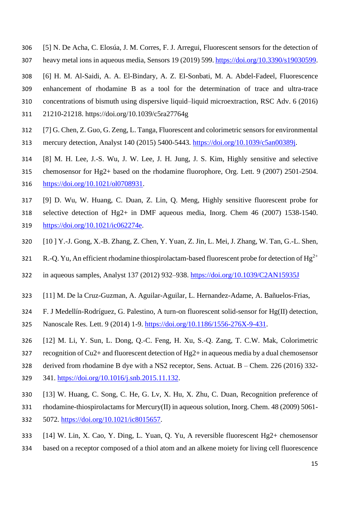- [5] N. De Acha, C. Elosúa, J. M. Corres, F. J. Arregui, Fluorescent sensors for the detection of heavy metal ions in aqueous media, Sensors 19 (2019) 599. [https://doi.org/10.3390/s19030599.](https://doi.org/10.3390/s19030599)
- [6] H. M. Al-Saidi, A. A. El-Bindary, A. Z. El-Sonbati, M. A. Abdel-Fadeel, Fluorescence enhancement of rhodamine B as a tool for the determination of trace and ultra-trace concentrations of bismuth using dispersive liquid–liquid microextraction, RSC Adv. 6 (2016) 21210-21218. https://doi.org/10.1039/c5ra27764g
- [7] G. Chen, Z. Guo, G. Zeng, L. Tanga, Fluorescent and colorimetric sensors for environmental
- mercury detection, Analyst 140 (2015) 5400-5443. [https://doi.org/10.1039/c5an00389j.](https://doi.org/10.1039/c5an00389j)
- [8] M. H. Lee, J.-S. Wu, J. W. Lee, J. H. Jung, J. S. Kim, Highly sensitive and selective
- chemosensor for Hg2+ based on the rhodamine fluorophore, Org. Lett. 9 (2007) 2501-2504.
- [https://doi.org/10.1021/ol0708931.](https://doi.org/10.1021/ol0708931)
- [9] D. Wu, W. Huang, C. Duan, Z. Lin, Q. Meng, Highly sensitive fluorescent probe for
- selective detection of Hg2+ in DMF aqueous media, Inorg. Chem 46 (2007) 1538-1540. [https://doi.org/10.1021/ic062274e.](https://doi.org/10.1021/ic062274e)
- [10 ] Y.-J. Gong, X.-B. Zhang, Z. Chen, Y. Yuan, Z. Jin, L. Mei, J. Zhang, W. Tan, G.-L. Shen,
- 321 R.-Q. Yu, An efficient rhodamine thiospirolactam-based fluorescent probe for detection of  $Hg^{2+}$
- in aqueous samples, Analyst 137 (2012) 932–938.<https://doi.org/10.1039/C2AN15935J>
- [11] M. De la Cruz-Guzman, A. Aguilar-Aguilar, L. Hernandez-Adame, A. Bañuelos-Frias,
- F. J Medellín-Rodríguez, G. Palestino, A turn-on fluorescent solid-sensor for Hg(II) detection,
- Nanoscale Res. Lett. 9 (2014) 1-9. [https://doi.org/10.1186/1556-276X-9-431.](https://doi.org/10.1186/1556-276X-9-431)
- [12] M. Li, Y. Sun, L. Dong, Q.-C. Feng, H. Xu, S.-Q. Zang, T. C.W. Mak, Colorimetric
- recognition of Cu2+ and fluorescent detection of Hg2+ in aqueous media by a dual chemosensor
- derived from rhodamine B dye with a NS2 receptor, Sens. Actuat. B Chem. 226 (2016) 332-
- 341. [https://doi.org/10.1016/j.snb.2015.11.132.](https://doi.org/10.1016/j.snb.2015.11.132)
- [13] W. Huang, C. Song, C. He, G. Lv, X. Hu, X. Zhu, C. Duan, Recognition preference of
- rhodamine-thiospirolactams for Mercury(II) in aqueous solution, Inorg. Chem. 48 (2009) 5061-
- 5072. [https://doi.org/10.1021/ic8015657.](https://doi.org/10.1021/ic8015657)
- [14] W. Lin, X. Cao, Y. Ding, L. Yuan, Q. Yu, A reversible fluorescent Hg2+ chemosensor
- based on a receptor composed of a thiol atom and an alkene moiety for living cell fluorescence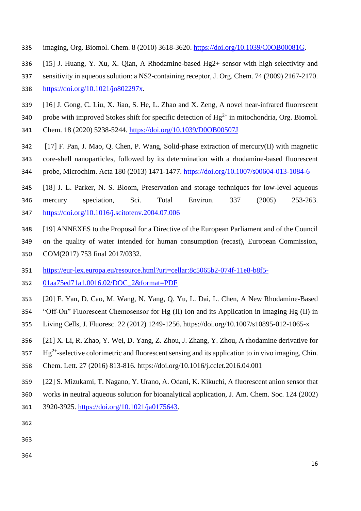- imaging, Org. Biomol. Chem. 8 (2010) 3618-3620. [https://doi.org/10.1039/C0OB00081G.](https://doi.org/10.1039/C0OB00081G)
- [15] J. Huang, Y. Xu, X. Qian, A Rhodamine-based Hg2+ sensor with high selectivity and
- sensitivity in aqueous solution: a NS2-containing receptor, J. Org. Chem. 74 (2009) 2167-2170.
- [https://doi.org/10.1021/jo802297x.](https://doi.org/10.1021/jo802297x)
- [16] J. Gong, C. Liu, X. Jiao, S. He, L. Zhao and X. Zeng, A novel near-infrared fluorescent
- 340 probe with improved Stokes shift for specific detection of  $Hg^{2+}$  in mitochondria, Org. Biomol.
- Chem. 18 (2020) 5238-5244.<https://doi.org/10.1039/D0OB00507J>
- [17] F. Pan, J. Mao, Q. Chen, P. Wang, Solid-phase extraction of mercury(II) with magnetic
- core-shell nanoparticles, followed by its determination with a rhodamine-based fluorescent
- probe, Microchim. Acta 180 (2013) 1471-1477.<https://doi.org/10.1007/s00604-013-1084-6>
- [18] J. L. Parker, N. S. Bloom, Preservation and storage techniques for low-level aqueous mercury speciation, Sci. Total Environ. 337 (2005) 253-263. <https://doi.org/10.1016/j.scitotenv.2004.07.006>
- [19] ANNEXES to the Proposal for a Directive of the European Parliament and of the Council
- on the quality of water intended for human consumption (recast), European Commission,
- COM(2017) 753 final 2017/0332.
- [https://eur-lex.europa.eu/resource.html?uri=cellar:8c5065b2-074f-11e8-b8f5-](https://eur-lex.europa.eu/resource.html?uri=cellar:8c5065b2-074f-11e8-b8f5-01aa75ed71a1.0016.02/DOC_2&format=PDF)
- [01aa75ed71a1.0016.02/DOC\\_2&format=PDF](https://eur-lex.europa.eu/resource.html?uri=cellar:8c5065b2-074f-11e8-b8f5-01aa75ed71a1.0016.02/DOC_2&format=PDF)
- [20] F. Yan, D. Cao, M. Wang, N. Yang, Q. Yu, L. Dai, L. Chen, A New Rhodamine-Based
- "Off-On" Fluorescent Chemosensor for Hg (II) Ion and its Application in Imaging Hg (II) in
- Living Cells, J. Fluoresc. 22 (2012) 1249-1256. https://doi.org/10.1007/s10895-012-1065-x
- [21] X. Li, R. Zhao, Y. Wei, D. Yang, Z. Zhou, J. Zhang, Y. Zhou, A rhodamine derivative for
- $Hg^{2+}$ -selective colorimetric and fluorescent sensing and its application to in vivo imaging, Chin.
- Chem. Lett. 27 (2016) 813-816. https://doi.org/10.1016/j.cclet.2016.04.001
- [22] S. Mizukami, T. Nagano, Y. Urano, A. Odani, K. Kikuchi, A fluorescent anion sensor that
- works in neutral aqueous solution for bioanalytical application, J. Am. Chem. Soc. 124 (2002) 3920-3925. [https://doi.org/10.1021/ja0175643.](https://doi.org/10.1021/ja0175643)
- 
- 
-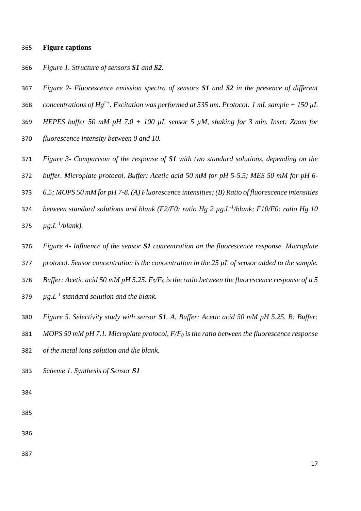#### **Figure captions**

- *Figure 1. Structure of sensors S1 and S2.*
- *Figure 2- Fluorescence emission spectra of sensors S1 and S2 in the presence of different*
- 368 *concentrations of Hg*<sup>2+</sup>. Excitation was performed at 535 nm. Protocol: 1 mL sample + 150  $\mu$ L
- *HEPES buffer 50 mM pH 7.0 + 100 µL sensor 5 µM, shaking for 3 min. Inset: Zoom for*
- *fluorescence intensity between 0 and 10.*
- *Figure 3- Comparison of the response of S1 with two standard solutions, depending on the*
- *buffer. Microplate protocol. Buffer: Acetic acid 50 mM for pH 5-5.5; MES 50 mM for pH 6-*
- *6.5; MOPS 50 mM for pH 7-8. (A) Fluorescence intensities; (B) Ratio of fluorescence intensities*
- *between standard solutions and blank (F2/F0: ratio Hg 2 µg.L-1 /blank; F10/F0: ratio Hg 10*
- 375  $\mu g.L^{-1}/blank$ ).
- *Figure 4- Influence of the sensor S1 concentration on the fluorescence response. Microplate*
- *protocol. Sensor concentration is the concentration in the 25 µL of sensor added to the sample.*
- *Buffer: Acetic acid 50 mM pH 5.25. F5/F<sup>0</sup> is the ratio between the fluorescence response of a 5*
- 379  $\mu g.L^{-1}$  standard solution and the blank.
- *Figure 5. Selectivity study with sensor S1. A. Buffer: Acetic acid 50 mM pH 5.25. B: Buffer:*
- *MOPS 50 mM pH 7.1. Microplate protocol, F/F<sup>0</sup> is the ratio between the fluorescence response*
- *of the metal ions solution and the blank.*
- *Scheme 1. Synthesis of Sensor S1*
- 
- 
- 
-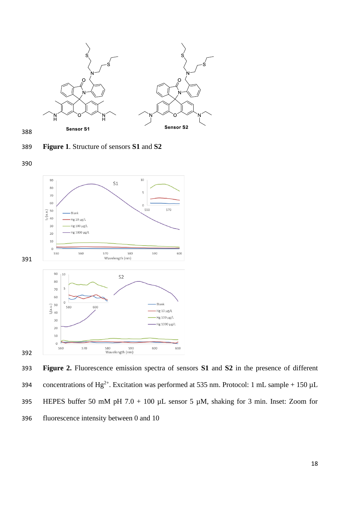

**Figure 1**. Structure of sensors **S1** and **S2**





 **Figure 2.** Fluorescence emission spectra of sensors **S1** and **S2** in the presence of different solutions of Hg<sup>2+</sup>. Excitation was performed at 535 nm. Protocol: 1 mL sample + 150  $\mu$ L 395 HEPES buffer 50 mM pH 7.0 + 100  $\mu$ L sensor 5  $\mu$ M, shaking for 3 min. Inset: Zoom for fluorescence intensity between 0 and 10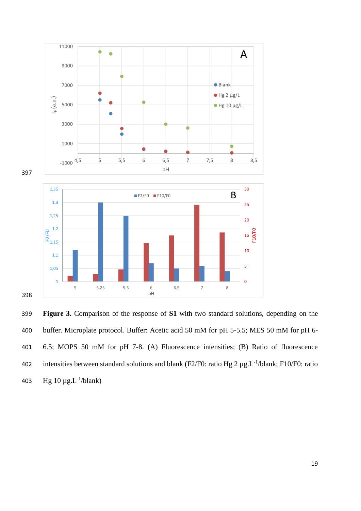

 **Figure 3.** Comparison of the response of **S1** with two standard solutions, depending on the buffer. Microplate protocol. Buffer: Acetic acid 50 mM for pH 5-5.5; MES 50 mM for pH 6- 6.5; MOPS 50 mM for pH 7-8. (A) Fluorescence intensities; (B) Ratio of fluorescence 402 intensities between standard solutions and blank (F2/F0: ratio Hg 2  $\mu$ g.L<sup>-1</sup>/blank; F10/F0: ratio 403 Hg  $10 \mu g.L^{-1}/blank$ )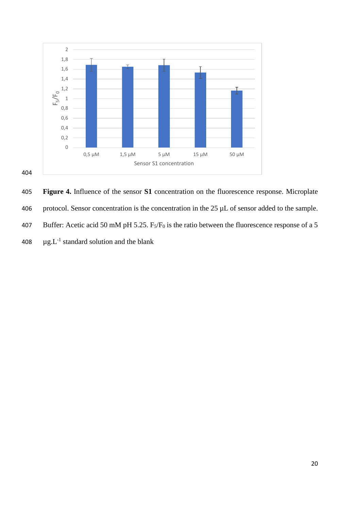

405 **Figure 4.** Influence of the sensor **S1** concentration on the fluorescence response. Microplate 406 protocol. Sensor concentration is the concentration in the  $25 \mu L$  of sensor added to the sample. 407 Buffer: Acetic acid 50 mM pH 5.25.  $F_5/F_0$  is the ratio between the fluorescence response of a 5 408  $\mu$ g.L<sup>-1</sup> standard solution and the blank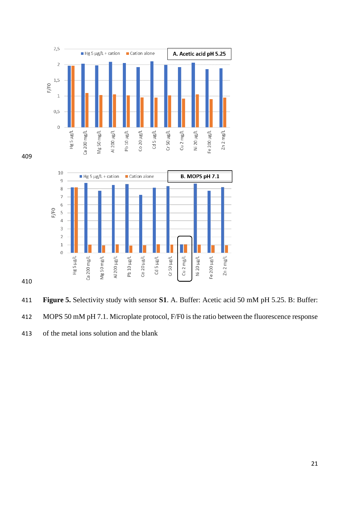

 **Figure 5.** Selectivity study with sensor **S1**. A. Buffer: Acetic acid 50 mM pH 5.25. B: Buffer: MOPS 50 mM pH 7.1. Microplate protocol, F/F0 is the ratio between the fluorescence response of the metal ions solution and the blank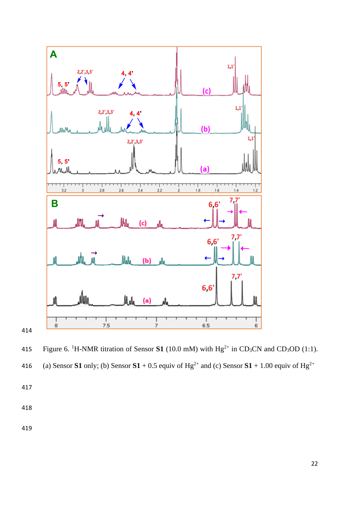

415 Figure 6. <sup>1</sup>H-NMR titration of Sensor **S1** (10.0 mM) with  $Hg^{2+}$  in CD<sub>3</sub>CN and CD<sub>3</sub>OD (1:1).

(a) Sensor **S1** only; (b) Sensor **S1** + 0.5 equiv of  $Hg^{2+}$  and (c) Sensor **S1** + 1.00 equiv of  $Hg^{2+}$